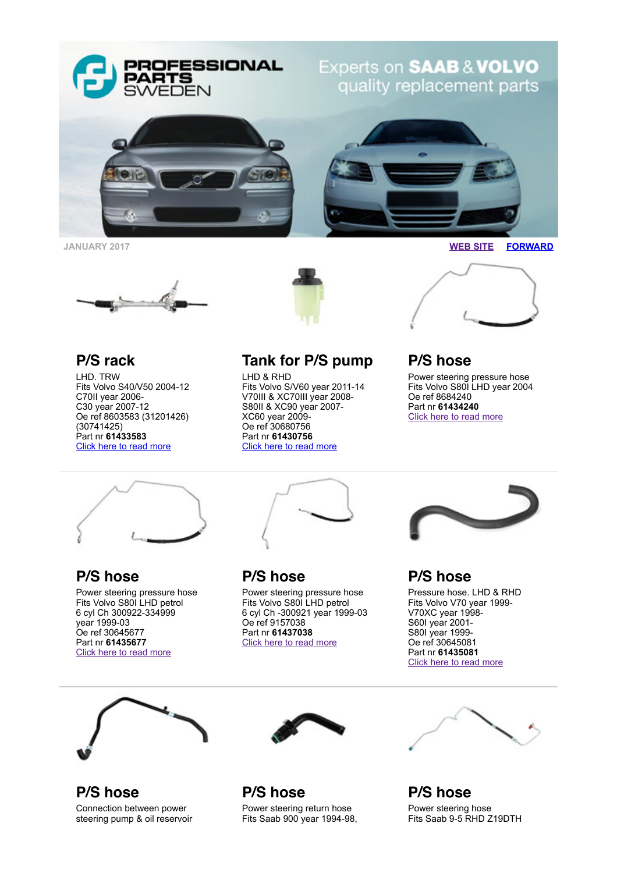

**JANUARY 2017 [WEB SITE](http://www.proparts.se/) [FORWARD](http://app.rule.io/browser/campaign/c/n_18yl/%25Link:Forward%25)**





LHD. TRW Fits Volvo S40/V50 2004-12 C70II year 2006- C30 year 2007-12 Oe ref 8603583 (31201426) (30741425) Part nr **61433583** [Click here to read more](http://www.proparts.se/dokument/bibliotek/File/pdfkataloger/2506_VOLVO.pdf)



## **Tank for P/S pump**

LHD & RHD Fits Volvo S/V60 year 2011-14 V70III & XC70III year 2008- S80II & XC90 year 2007- XC60 year 2009- Oe ref 30680756 Part nr **61430756** [Click here to read more](http://www.proparts.se/dokument/bibliotek/File/pdfkataloger/2505_VOLVO.pdf)



## **P/S hose**

Power steering pressure hose Fits Volvo S80I LHD year 2004 Oe ref 8684240 Part nr **61434240** [Click here to read more](http://www.proparts.se/dokument/bibliotek/File/pdfkataloger/2504_VOLVO.pdf)



**P/S hose** Power steering pressure hose Fits Volvo S80I LHD petrol 6 cyl Ch 300922-334999 year 1999-03 Oe ref 30645677 Part nr **61435677** [Click here to read more](http://www.proparts.se/dokument/bibliotek/File/pdfkataloger/2504_VOLVO.pdf)



**P/S hose**

Power steering pressure hose Fits Volvo S80I LHD petrol 6 cyl Ch -300921 year 1999-03 Oe ref 9157038 Part nr **61437038** [Click here to read more](http://www.proparts.se/dokument/bibliotek/File/pdfkataloger/2504_VOLVO.pdf)



**P/S hose**

Pressure hose. LHD & RHD Fits Volvo V70 year 1999- V70XC year 1998- S60I year 2001- S80I year 1999- Oe ref 30645081 Part nr **61435081** [Click here to read more](http://www.proparts.se/dokument/bibliotek/File/pdfkataloger/2504_VOLVO.pdf)







**P/S hose** Power steering return hose Fits Saab 900 year 1994-98,



**P/S hose** Power steering hose Fits Saab 9-5 RHD Z19DTH